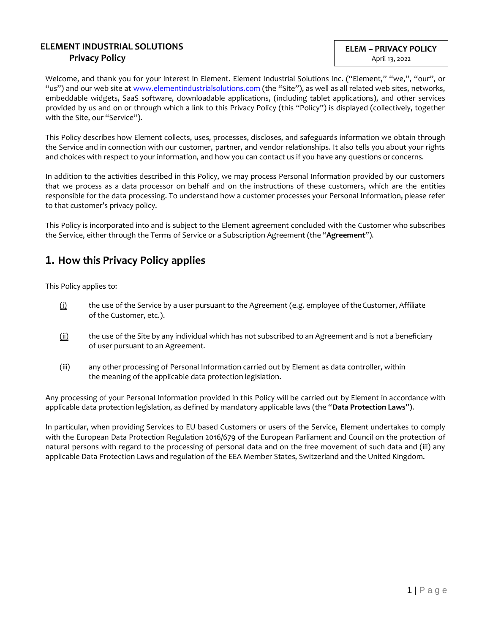### **ELEMENT INDUSTRIAL SOLUTIONS Privacy Policy**

Welcome, and thank you for your interest in Element. Element Industrial Solutions Inc. ("Element," "we,", "our", or "us") and our web site at [www.elementindustrialsolutions.com](http://www.elementindustrialsolutions.com/) (the "Site"), as well as all related web sites, networks, embeddable widgets, SaaS software, downloadable applications, (including tablet applications), and other services provided by us and on or through which a link to this Privacy Policy (this "Policy") is displayed (collectively, together with the Site, our "Service").

This Policy describes how Element collects, uses, processes, discloses, and safeguards information we obtain through the Service and in connection with our customer, partner, and vendor relationships. It also tells you about your rights and choices with respect to your information, and how you can contact us if you have any questions or concerns.

In addition to the activities described in this Policy, we may process Personal Information provided by our customers that we process as a data processor on behalf and on the instructions of these customers, which are the entities responsible for the data processing. To understand how a customer processes your Personal Information, please refer to that customer's privacy policy.

This Policy is incorporated into and is subject to the Element agreement concluded with the Customer who subscribes the Service, either through the Terms of Service or a Subscription Agreement (the "**Agreement**").

## **1. How this Privacy Policy applies**

This Policy applies to:

- $(i)$  the use of the Service by a user pursuant to the Agreement (e.g. employee of the Customer, Affiliate of the Customer, etc.).
- (ii) the use of the Site by any individual which has not subscribed to an Agreement and is not a beneficiary of user pursuant to an Agreement.
- (iii) any other processing of Personal Information carried out by Element as data controller, within the meaning of the applicable data protection legislation.

Any processing of your Personal Information provided in this Policy will be carried out by Element in accordance with applicable data protection legislation, as defined by mandatory applicable laws (the "**Data Protection Laws**").

In particular, when providing Services to EU based Customers or users of the Service, Element undertakes to comply with the European Data Protection Regulation 2016/679 of the European Parliament and Council on the protection of natural persons with regard to the processing of personal data and on the free movement of such data and (iii) any applicable Data Protection Laws and regulation of the EEA Member States, Switzerland and the United Kingdom.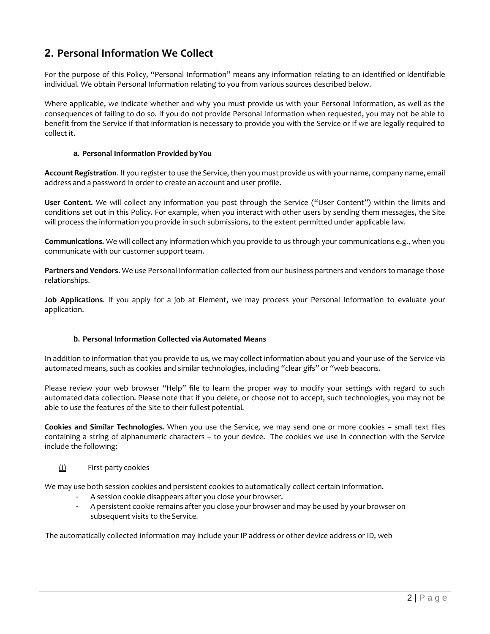## **2. Personal Information We Collect**

For the purpose of this Policy, "Personal Information" means any information relating to an identified or identifiable individual. We obtain Personal Information relating to you from various sources described below.

Where applicable, we indicate whether and why you must provide us with your Personal Information, as well as the consequences of failing to do so. If you do not provide Personal Information when requested, you may not be able to benefit from the Service if that information is necessary to provide you with the Service or if we are legally required to collect it.

#### **a. Personal Information Provided byYou**

**Account Registration**. If you register to use the Service, then you mustprovide us with your name, company name, email address and a password in order to create an account and user profile.

**User Content.** We will collect any information you post through the Service ("User Content") within the limits and conditions set out in this Policy. For example, when you interact with other users by sending them messages, the Site will process the information you provide in such submissions, to the extent permitted under applicable law.

**Communications.** We will collect any information which you provide to us through your communications e.g., when you communicate with our customer support team.

**Partners and Vendors**. We use Personal Information collected from our business partners and vendors to manage those relationships.

**Job Applications**. If you apply for a job at Element, we may process your Personal Information to evaluate your application.

### **b. Personal Information Collected via Automated Means**

In addition to information that you provide to us, we may collect information about you and your use of the Service via automated means, such as cookies and similar technologies, including "clear gifs" or "web beacons.

Please review your web browser "Help" file to learn the proper way to modify your settings with regard to such automated data collection. Please note that if you delete, or choose not to accept, such technologies, you may not be able to use the features of the Site to their fullest potential.

**Cookies and Similar Technologies.** When you use the Service, we may send one or more cookies – small text files containing a string of alphanumeric characters – to your device. The cookies we use in connection with the Service include the following:

### (i) First-party cookies

We may use both session cookies and persistent cookies to automatically collect certain information.

- A session cookie disappears after you close your browser.
- A persistent cookie remains after you close your browser and may be used by your browser on subsequent visits to the Service.

The automatically collected information may include your IP address or other device address or ID, web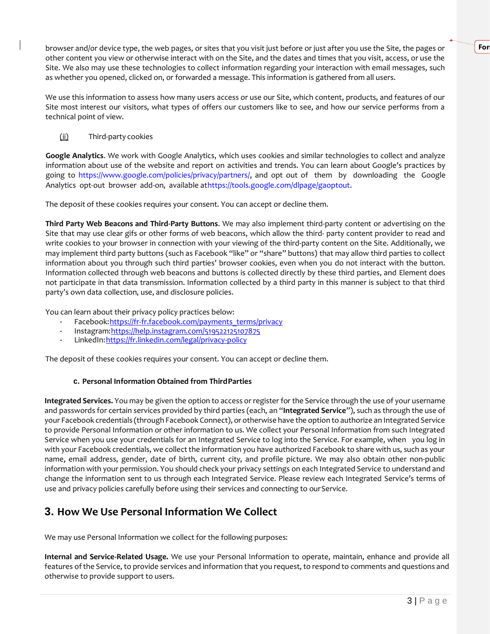browser and/or device type, the web pages, or sites that you visit just before or just after you use the Site, the pages or other content you view or otherwise interact with on the Site, and the dates and times that you visit, access, or use the Site. We also may use these technologies to collect information regarding your interaction with email messages, such as whether you opened, clicked on, or forwarded a message. This information is gathered from all users.

We use this information to assess how many users access or use our Site, which content, products, and features of our Site most interest our visitors, what types of offers our customers like to see, and how our service performs from a technical point of view.

### (ii) Third-party cookies

**Google Analytics**. We work with Google Analytics, which uses cookies and similar technologies to collect and analyze information about use of the website and report on activities and trends. You can learn about Google's practices by going to https:/[/www.google.com/policies/privacy/partners/,](http://www.google.com/policies/privacy/partners/) and opt out of them by downloading the Google Analytics opt-out browser add-on, available athttps://tools.google.com/dlpage/gaoptout.

The deposit of these cookies requires your consent. You can accept or decline them.

**Third Party Web Beacons and Third-Party Buttons**. We may also implement third-party content or advertising on the Site that may use clear gifs or other forms of web beacons, which allow the third- party content provider to read and write cookies to your browser in connection with your viewing of the third-party content on the Site. Additionally, we may implement third party buttons (such as Facebook "like" or "share" buttons) that may allow third parties to collect information about you through such third parties' browser cookies, even when you do not interact with the button. Information collected through web beacons and buttons is collected directly by these third parties, and Element does not participate in that data transmission. Information collected by a third party in this manner is subject to that third party's own data collection, use, and disclosure policies.

You can learn about their privacy policy practices below:

- Facebook: https://fr-fr.facebook.com/payments\_terms/privacy
- Instagram:https://help.instagram.com/519522125107875
- LinkedIn: https://fr.linkedin.com/legal/privacy-policy

The deposit of these cookies requires your consent. You can accept or decline them.

### **c. Personal Information Obtained from ThirdParties**

**Integrated Services.** You may be given the option to access or register for the Service through the use of your username and passwords for certain services provided by third parties (each, an "**Integrated Service**"), such as through the use of your Facebook credentials (through Facebook Connect), or otherwise have the option to authorize an Integrated Service to provide Personal Information or other information to us. We collect your Personal Information from such Integrated Service when you use your credentials for an Integrated Service to log into the Service. For example, when you log in with your Facebook credentials, we collect the information you have authorized Facebook to share with us, such as your name, email address, gender, date of birth, current city, and profile picture. We may also obtain other non-public information with your permission. You should check your privacy settings on each Integrated Service to understand and change the information sent to us through each Integrated Service. Please review each Integrated Service's terms of use and privacy policies carefully before using their services and connecting to ourService.

## **3. How We Use Personal Information We Collect**

We may use Personal Information we collect for the following purposes:

**Internal and Service-Related Usage.** We use your Personal Information to operate, maintain, enhance and provide all features of the Service, to provide services and information that you request, to respond to comments and questions and otherwise to provide support to users.

**For**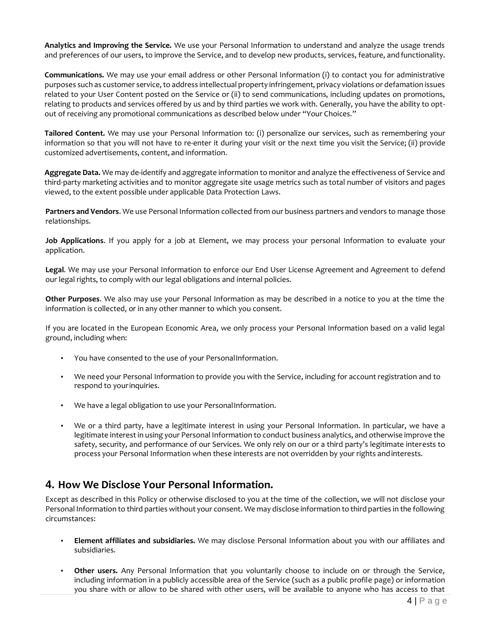**Analytics and Improving the Service.** We use your Personal Information to understand and analyze the usage trends and preferences of our users, to improve the Service, and to develop new products, services, feature, andfunctionality.

**Communications.** We may use your email address or other Personal Information (i) to contact you for administrative purposes such as customer service, to address intellectual property infringement, privacy violations or defamation issues related to your User Content posted on the Service or (ii) to send communications, including updates on promotions, relating to products and services offered by us and by third parties we work with. Generally, you have the ability to optout of receiving any promotional communications as described below under "Your Choices."

**Tailored Content.** We may use your Personal Information to: (i) personalize our services, such as remembering your information so that you will not have to re-enter it during your visit or the next time you visit the Service; (ii) provide customized advertisements, content, and information.

**Aggregate Data.** We may de-identify and aggregate information to monitor and analyze the effectiveness of Service and third-party marketing activities and to monitor aggregate site usage metrics such as total number of visitors and pages viewed, to the extent possible under applicable Data Protection Laws.

**Partners and Vendors**. We use Personal Information collected from our business partners and vendors to manage those relationships.

**Job Applications**. If you apply for a job at Element, we may process your personal Information to evaluate your application.

**Legal**. We may use your Personal Information to enforce our End User License Agreement and Agreement to defend our legal rights, to comply with our legal obligations and internal policies.

**Other Purposes**. We also may use your Personal Information as may be described in a notice to you at the time the information is collected, or in any other manner to which you consent.

If you are located in the European Economic Area, we only process your Personal Information based on a valid legal ground, including when:

- You have consented to the use of your PersonalInformation.
- We need your Personal Information to provide you with the Service, including for account registration and to respond to yourinquiries.
- We have a legal obligation to use your PersonalInformation.
- We or a third party, have a legitimate interest in using your Personal Information. In particular, we have a legitimate interest in using your Personal Information to conduct business analytics, and otherwise improve the safety, security, and performance of our Services. We only rely on our or a third party's legitimate interests to process your Personal Information when these interests are not overridden by your rights andinterests.

### **4. How We Disclose Your Personal Information.**

Except as described in this Policy or otherwise disclosed to you at the time of the collection, we will not disclose your Personal Information to third parties without your consent. We may disclose information to third parties in the following circumstances:

- **Element affiliates and subsidiaries.** We may disclose Personal Information about you with our affiliates and subsidiaries.
- **Other users.** Any Personal Information that you voluntarily choose to include on or through the Service, including information in a publicly accessible area of the Service (such as a public profile page) or information you share with or allow to be shared with other users, will be available to anyone who has access to that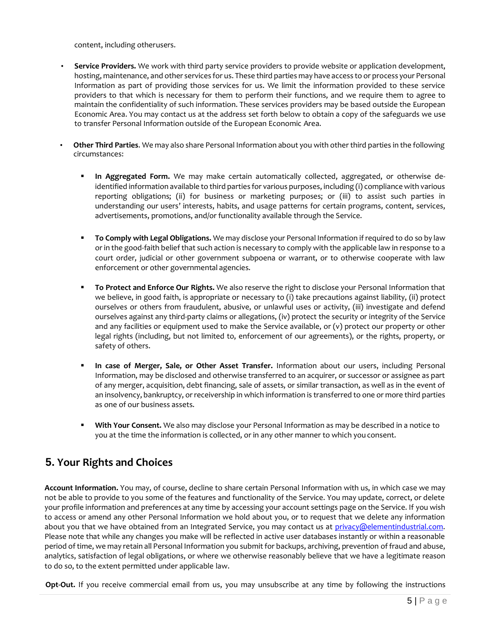content, including otherusers.

- **Service Providers.** We work with third party service providers to provide website or application development, hosting, maintenance, and other services for us. These third parties may have access to or process your Personal Information as part of providing those services for us. We limit the information provided to these service providers to that which is necessary for them to perform their functions, and we require them to agree to maintain the confidentiality of such information. These services providers may be based outside the European Economic Area. You may contact us at the address set forth below to obtain a copy of the safeguards we use to transfer Personal Information outside of the European Economic Area.
- **Other Third Parties**. We may also share Personal Information about you with other third parties in the following circumstances:
	- **In Aggregated Form.** We may make certain automatically collected, aggregated, or otherwise deidentified information available to third parties for various purposes, including (i) compliance with various reporting obligations; (ii) for business or marketing purposes; or (iii) to assist such parties in understanding our users' interests, habits, and usage patterns for certain programs, content, services, advertisements, promotions, and/or functionality available through the Service.
	- **To Comply with Legal Obligations.** We may disclose your Personal Information if required to do so by law or in the good-faith belief that such action is necessary to comply with the applicable law in response to a court order, judicial or other government subpoena or warrant, or to otherwise cooperate with law enforcement or other governmental agencies.
	- **To Protect and Enforce Our Rights.** We also reserve the right to disclose your Personal Information that we believe, in good faith, is appropriate or necessary to (i) take precautions against liability, (ii) protect ourselves or others from fraudulent, abusive, or unlawful uses or activity, (iii) investigate and defend ourselves against any third-party claims or allegations, (iv) protect the security or integrity of the Service and any facilities or equipment used to make the Service available, or (v) protect our property or other legal rights (including, but not limited to, enforcement of our agreements), or the rights, property, or safety of others.
	- **In case of Merger, Sale, or Other Asset Transfer.** Information about our users, including Personal Information, may be disclosed and otherwise transferred to an acquirer, or successor or assignee as part of any merger, acquisition, debt financing, sale of assets, or similar transaction, as well as in the event of an insolvency, bankruptcy, or receivership in which information is transferred to one or more third parties as one of our business assets.
	- With Your Consent. We also may disclose your Personal Information as may be described in a notice to you at the time the information is collected, or in any other manner to which youconsent.

## **5. Your Rights and Choices**

**Account Information.** You may, of course, decline to share certain Personal Information with us, in which case we may not be able to provide to you some of the features and functionality of the Service. You may update, correct, or delete your profile information and preferences at any time by accessing your account settings page on the Service. If you wish to access or amend any other Personal Information we hold about you, or to request that we delete any information about you that we have obtained from an Integrated Service, you may contact us at [privacy@elementindustrial.com.](mailto:privacy@elementindustrial.com) Please note that while any changes you make will be reflected in active user databases instantly or within a reasonable period of time, we may retain all Personal Information you submit for backups, archiving, prevention of fraud and abuse, analytics, satisfaction of legal obligations, or where we otherwise reasonably believe that we have a legitimate reason to do so, to the extent permitted under applicable law.

**Opt-Out.** If you receive commercial email from us, you may unsubscribe at any time by following the instructions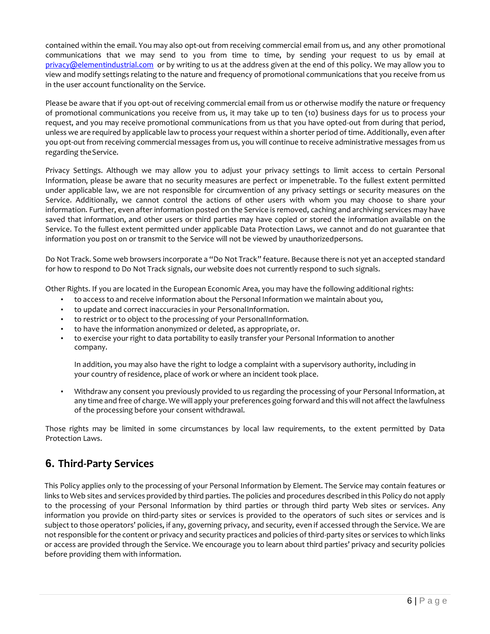contained within the email. You may also opt-out from receiving commercial email from us, and any other promotional communications that we may send to you from time to time, by sending your request to us by email at [privacy@elementindustrial.com](mailto:privacy@elementindustrial.com) [o](mailto:privacy@fieldwire.com)r by writing to us at the address given at the end of this policy. We may allow you to view and modify settings relating to the nature and frequency of promotional communications that you receive from us in the user account functionality on the Service.

Please be aware that if you opt-out of receiving commercial email from us or otherwise modify the nature or frequency of promotional communications you receive from us, it may take up to ten (10) business days for us to process your request, and you may receive promotional communications from us that you have opted-out from during that period, unless we are required by applicable law to process your request within a shorter period of time. Additionally, even after you opt-out from receiving commercial messages from us, you will continue to receive administrative messages from us regarding theService.

Privacy Settings. Although we may allow you to adjust your privacy settings to limit access to certain Personal Information, please be aware that no security measures are perfect or impenetrable. To the fullest extent permitted under applicable law, we are not responsible for circumvention of any privacy settings or security measures on the Service. Additionally, we cannot control the actions of other users with whom you may choose to share your information. Further, even after information posted on the Service is removed, caching and archiving services may have saved that information, and other users or third parties may have copied or stored the information available on the Service. To the fullest extent permitted under applicable Data Protection Laws, we cannot and do not guarantee that information you post on or transmit to the Service will not be viewed by unauthorizedpersons.

Do Not Track. Some web browsers incorporate a "Do Not Track" feature. Because there is not yet an accepted standard for how to respond to Do Not Track signals, our website does not currently respond to such signals.

Other Rights. If you are located in the European Economic Area, you may have the following additional rights:

- to access to and receive information about the Personal Information we maintain about you,
- to update and correct inaccuracies in your PersonalInformation.
- to restrict or to object to the processing of your PersonalInformation.
- to have the information anonymized or deleted, as appropriate, or.
- to exercise your right to data portability to easily transfer your Personal Information to another company.

In addition, you may also have the right to lodge a complaint with a supervisory authority, including in your country of residence, place of work or where an incident took place.

• Withdraw any consent you previously provided to us regarding the processing of your Personal Information, at any time and free of charge. We will apply your preferences going forward and this will not affect the lawfulness of the processing before your consent withdrawal.

Those rights may be limited in some circumstances by local law requirements, to the extent permitted by Data Protection Laws.

## **6. Third-Party Services**

This Policy applies only to the processing of your Personal Information by Element. The Service may contain features or links to Web sites and services provided by third parties. The policies and procedures described in this Policy do not apply to the processing of your Personal Information by third parties or through third party Web sites or services. Any information you provide on third-party sites or services is provided to the operators of such sites or services and is subject to those operators' policies, if any, governing privacy, and security, even if accessed through the Service. We are not responsible for the content or privacy and security practices and policies of third-party sites or services to which links or access are provided through the Service. We encourage you to learn about third parties' privacy and security policies before providing them with information.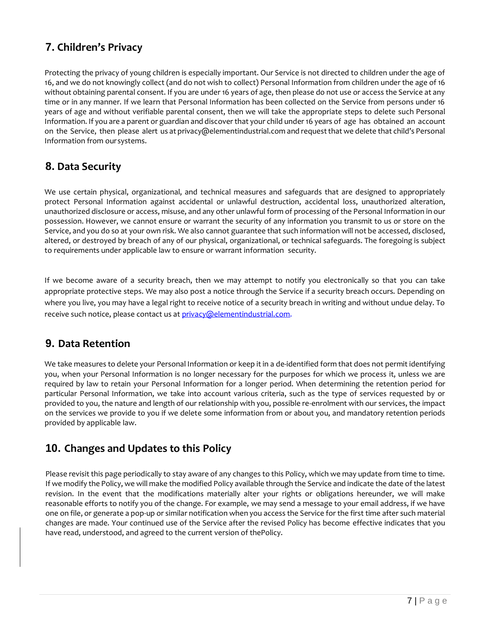# **7. Children's Privacy**

Protecting the privacy of young children is especially important. Our Service is not directed to children under the age of 16, and we do not knowingly collect (and do not wish to collect) Personal Information from children under the age of 16 without obtaining parental consent. If you are under 16 years of age, then please do not use or access the Service at any time or in any manner. If we learn that Personal Information has been collected on the Service from persons under 16 years of age and without verifiable parental consent, then we will take the appropriate steps to delete such Personal Information. If you are a parent or guardian and discover that your child under 16 years of age has obtained an account on the Service, then please alert us at privacy@elementindustrial.com and request that we delete that child's Personal Information from oursystems.

## **8. Data Security**

We use certain physical, organizational, and technical measures and safeguards that are designed to appropriately protect Personal Information against accidental or unlawful destruction, accidental loss, unauthorized alteration, unauthorized disclosure or access, misuse, and any other unlawful form of processing of the Personal Information in our possession. However, we cannot ensure or warrant the security of any information you transmit to us or store on the Service, and you do so at your own risk. We also cannot guarantee that such information will not be accessed, disclosed, altered, or destroyed by breach of any of our physical, organizational, or technical safeguards. The foregoing is subject to requirements under applicable law to ensure or warrant information security.

If we become aware of a security breach, then we may attempt to notify you electronically so that you can take appropriate protective steps. We may also post a notice through the Service if a security breach occurs. Depending on where you live, you may have a legal right to receive notice of a security breach in writing and without undue delay. To receive such notice, please contact us at [privacy@elementindustrial.com.](mailto:privacy@elementindustrial.com)

## **9. Data Retention**

We take measures to delete your Personal Information or keep it in a de-identified form that does not permit identifying you, when your Personal Information is no longer necessary for the purposes for which we process it, unless we are required by law to retain your Personal Information for a longer period. When determining the retention period for particular Personal Information, we take into account various criteria, such as the type of services requested by or provided to you, the nature and length of our relationship with you, possible re-enrolment with our services, the impact on the services we provide to you if we delete some information from or about you, and mandatory retention periods provided by applicable law.

# **10. Changes and Updates to this Policy**

Please revisit this page periodically to stay aware of any changes to this Policy, which we may update from time to time. If we modify the Policy, we will make the modified Policy available through the Service and indicate the date of the latest revision. In the event that the modifications materially alter your rights or obligations hereunder, we will make reasonable efforts to notify you of the change. For example, we may send a message to your email address, if we have one on file, or generate a pop-up or similar notification when you access the Service for the first time after such material changes are made. Your continued use of the Service after the revised Policy has become effective indicates that you have read, understood, and agreed to the current version of thePolicy.